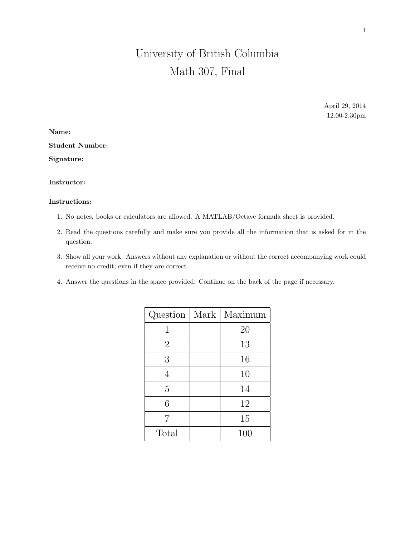# University of British Columbia Math 307, Final

April 29, 2014 12.00-2.30pm

Name: Student Number:

Signature:

## Instructor:

#### Instructions:

- 1. No notes, books or calculators are allowed. A MATLAB/Octave formula sheet is provided.
- 2. Read the questions carefully and make sure you provide all the information that is asked for in the question.
- 3. Show all your work. Answers without any explanation or without the correct accompanying work could receive no credit, even if they are correct.
- 4. Answer the questions in the space provided. Continue on the back of the page if necessary.

|                | Question   Mark   Maximum |
|----------------|---------------------------|
| 1              | 20                        |
| $\overline{2}$ | 13                        |
| 3              | 16                        |
| 4              | 10                        |
| 5              | 14                        |
| 6              | 12                        |
| 7              | 15                        |
| Total          | 100                       |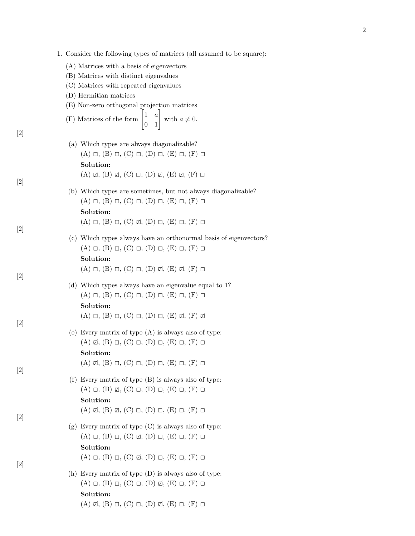- (A) Matrices with a basis of eigenvectors
- (B) Matrices with distinct eigenvalues
- (C) Matrices with repeated eigenvalues
- (D) Hermitian matrices

[2]

[2]

[2]

[2]

[2]

[2]

[2]

[2]

(E) Non-zero orthogonal projection matrices

(F) Matrices of the form 
$$
\begin{bmatrix} 1 & a \\ 0 & 1 \end{bmatrix}
$$
 with  $a \neq 0$ .

- (a) Which types are always diagonalizable?  $(A) \Box, (B) \Box, (C) \Box, (D) \Box, (E) \Box, (F) \Box$ Solution:  $(A) \not\sqsubset (B) \not\sqsubset (C) \sqsubset (D) \not\sqsubset (E) \not\sqsubset (F) \sqsubset$
- (b) Which types are sometimes, but not always diagonalizable?  $(A) \Box, (B) \Box, (C) \Box, (D) \Box, (E) \Box, (F) \Box$ Solution:  $(A) \Box, (B) \Box, (C) \not\Box, (D) \Box, (E) \Box, (F) \Box$
- (c) Which types always have an orthonormal basis of eigenvectors?  $(A) \Box, (B) \Box, (C) \Box, (D) \Box, (E) \Box, (F) \Box$ Solution:  $(A) \square, (B) \square, (C) \square, (D) \mathbb{Z}, (E) \mathbb{Z}, (F) \square$
- (d) Which types always have an eigenvalue equal to 1?  $(A) \Box, (B) \Box, (C) \Box, (D) \Box, (E) \Box, (F) \Box$ Solution:  $(A) \square, (B) \square, (C) \square, (D) \square, (E) \mathbb{Z}, (F) \mathbb{Z}$
- (e) Every matrix of type (A) is always also of type:  $(A) \not\sqsubset (B) \sqsubset (C) \sqsubset (D) \sqsubset (E) \sqsubset (F) \sqsubset$ Solution:  $(A) \not\sqsubset (B) \sqsubset (C) \sqsubset (D) \sqsubset (E) \sqsubset (F) \sqsubset$
- (f) Every matrix of type (B) is always also of type:  $(A) \Box, (B) \Box, (C) \Box, (D) \Box, (E) \Box, (F) \Box$ Solution:  $(A) \not\sqsubset (B) \not\sqsubset (C) \sqsubset (D) \sqsubset (E) \sqsubset (F) \sqsubset$
- (g) Every matrix of type (C) is always also of type:  $(A) \Box, (B) \Box, (C) \not\Box, (D) \Box, (E) \Box, (F) \Box$ Solution:  $(A) \square, (B) \square, (C) \square, (D) \square, (E) \square, (F) \square$
- (h) Every matrix of type (D) is always also of type:  $(A) \Box, (B) \Box, (C) \Box, (D) \not\Box, (E) \Box, (F) \Box$ Solution:

 $(A) \not\sqsubset (B) \sqsubset (C) \sqsubset (D) \not\sqsubset (E) \sqsubset (F) \sqsubset$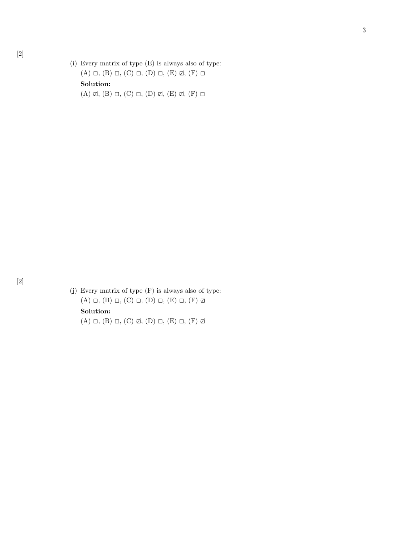(i) Every matrix of type (E) is always also of type:  $(A) \square$ ,  $(B) \square$ ,  $(C) \square$ ,  $(D) \square$ ,  $(E) \square$ ,  $(F) \square$ Solution:  $(A) \not\sqsubset (A) \square, (B) \square, (C) \square, (D) \not\sqsubset (E) \not\sqsubset (F) \square$ 

3

(j) Every matrix of type (F) is always also of type:  $(A) \square$ ,  $(B) \square$ ,  $(C) \square$ ,  $(D) \square$ ,  $(E) \square$ ,  $(F) \square$ Solution:  $(A) \square$ ,  $(B) \square$ ,  $(C) \boxtimes$ ,  $(D) \square$ ,  $(E) \square$ ,  $(F) \boxtimes$ 

[2]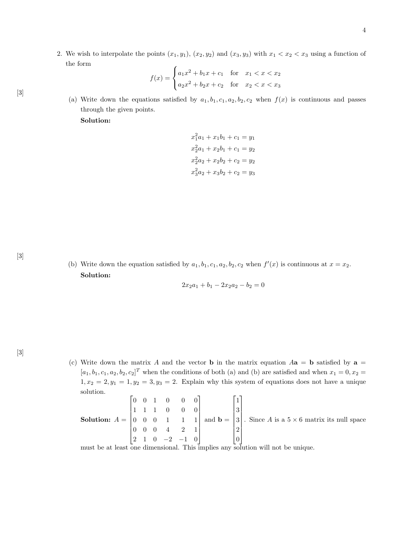2. We wish to interpolate the points  $(x_1, y_1)$ ,  $(x_2, y_2)$  and  $(x_3, y_3)$  with  $x_1 < x_2 < x_3$  using a function of the form

$$
f(x) = \begin{cases} a_1x^2 + b_1x + c_1 & \text{for } x_1 < x < x_2\\ a_2x^2 + b_2x + c_2 & \text{for } x_2 < x < x_3 \end{cases}
$$

[3]

(a) Write down the equations satisfied by  $a_1, b_1, c_1, a_2, b_2, c_2$  when  $f(x)$  is continuous and passes through the given points.

Solution:

$$
x_1^2a_1 + x_1b_1 + c_1 = y_1
$$
  
\n
$$
x_2^2a_1 + x_2b_1 + c_1 = y_2
$$
  
\n
$$
x_2^2a_2 + x_2b_2 + c_2 = y_2
$$
  
\n
$$
x_3^2a_2 + x_3b_2 + c_2 = y_3
$$

(b) Write down the equation satisfied by  $a_1, b_1, c_1, a_2, b_2, c_2$  when  $f'(x)$  is continuous at  $x = x_2$ . Solution:

 $2x_2a_1 + b_1 - 2x_2a_2 - b_2 = 0$ 

(c) Write down the matrix A and the vector **b** in the matrix equation  $Aa = b$  satisfied by  $a =$  $[a_1, b_1, c_1, a_2, b_2, c_2]^T$  when the conditions of both (a) and (b) are satisfied and when  $x_1 = 0, x_2 =$  $1, x_2 = 2, y_1 = 1, y_2 = 3, y_3 = 2$ . Explain why this system of equations does not have a unique solution.  $\mathbf{r}$  $\blacksquare$ 

Solution: 
$$
A = \begin{bmatrix} 0 & 0 & 1 & 0 & 0 & 0 \\ 1 & 1 & 1 & 0 & 0 & 0 \\ 0 & 0 & 0 & 1 & 1 & 1 \\ 0 & 0 & 0 & 4 & 2 & 1 \\ 2 & 1 & 0 & -2 & -1 & 0 \end{bmatrix}
$$
 and  $\mathbf{b} = \begin{bmatrix} 1 \\ 3 \\ 3 \\ 2 \\ 0 \end{bmatrix}$ . Since A is a 5 × 6 matrix its null space

must be at least one dimensional. This implies any solution will not be unique.

[3]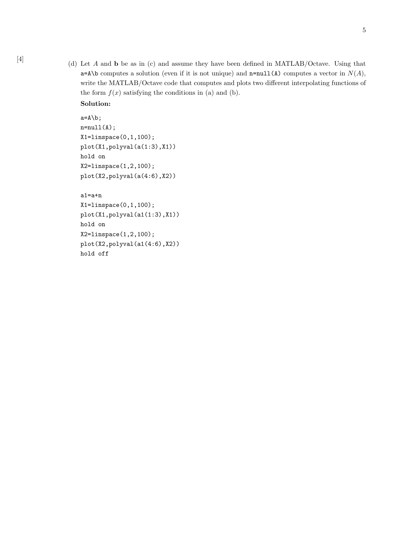[4] (d) Let A and **b** be as in (c) and assume they have been defined in MATLAB/Octave. Using that  $a=A\b$  computes a solution (even if it is not unique) and  $n=null(A)$  computes a vector in  $N(A)$ , write the MATLAB/Octave code that computes and plots two different interpolating functions of the form  $f(x)$  satisfying the conditions in (a) and (b).

```
Solution:
```

```
a=A\backslash b;
n=null(A);
X1=linspace(0,1,100);
plot(X1,polyval(a(1:3),X1))
hold on
X2=linspace(1,2,100);
plot(X2,polyval(a(4:6),X2))
```

```
a1=a+n
```

```
X1=linspace(0,1,100);
plot(X1,polyval(a1(1:3),X1))
hold on
X2=linspace(1,2,100);
plot(X2,polyval(a1(4:6),X2))
hold off
```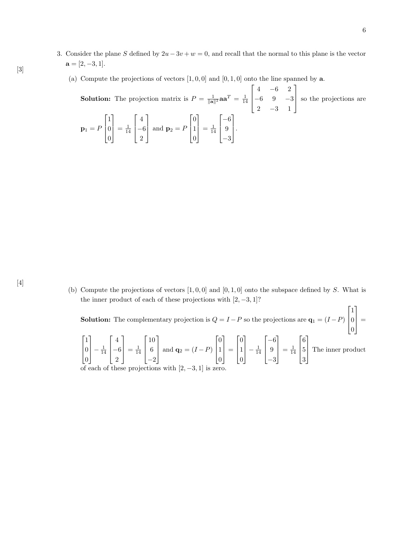- 3. Consider the plane S defined by  $2u 3v + w = 0$ , and recall that the normal to this plane is the vector  $a = [2, -3, 1].$ 
	- (a) Compute the projections of vectors  $[1, 0, 0]$  and  $[0, 1, 0]$  onto the line spanned by **a**.

**Solution:** The projection matrix is  $P = \frac{1}{\|\mathbf{a}\|^2} \mathbf{a} \mathbf{a}^T = \frac{1}{14}$  $\lceil$  $\begin{array}{c} \hline \end{array}$  $4 -6 2$ −6 9 −3  $2 -3 1$ 1 so the projections are  $\mathbf{p}_1 = F$  $\lceil$  $\Big\}$ 1 0 0 1  $=$  $\frac{1}{14}$  $\lceil$  $\Big\}$ 4 −6 2 1 and  $\mathbf{p}_2 = P$  $\lceil$  $\overline{\phantom{a}}$ 0 1  $\overline{0}$ 1  $=$  $\frac{1}{14}$  $\lceil$  $\overline{\phantom{a}}$ −6 9 −3 1  $\vert \cdot$ 

(b) Compute the projections of vectors  $[1, 0, 0]$  and  $[0, 1, 0]$  onto the subspace defined by S. What is the inner product of each of these projections with  $[2, -3, 1]$ ?

**Solution:** The complementary projection is  $Q = I - P$  so the projections are  $\mathbf{q}_1 = (I - P)$  $\lceil$  $\Big\}$ 1 0 0 1  $\Big| =$  $\lceil$  $\overline{\phantom{a}}$ 1 0  $\overline{0}$ 1  $-\frac{1}{14}$  $\lceil$  $\overline{\phantom{a}}$ 4 −6 2 1  $=$  $\frac{1}{14}$  $\lceil$  $\overline{\phantom{a}}$ 10 6 −2 1 and  $\mathbf{q}_2 = (I - P)$  $\lceil$  $\Big\}$ 0 1 0 1  $\Big| =$  $\lceil$  $\Big\}$ 0 1 0 1  $\Bigg| - \frac{1}{14}$  $\lceil$  $\Big\}$ −6 9 −3 1  $=$  $\frac{1}{14}$  $\lceil$  $\Big\}$ 6 5 3 1 The inner product

of each of these projections with  $[2, -3, 1]$  is zero.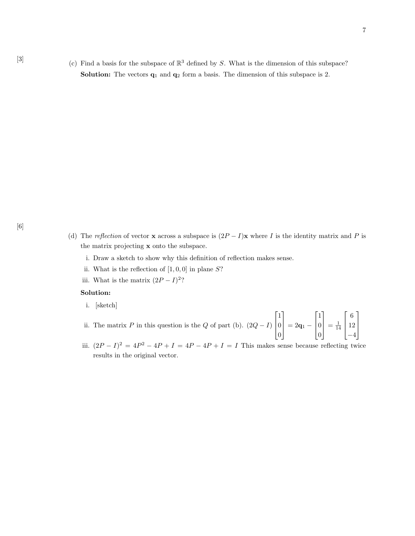[3] (c) Find a basis for the subspace of  $\mathbb{R}^3$  defined by S. What is the dimension of this subspace? **Solution:** The vectors  $q_1$  and  $q_2$  form a basis. The dimension of this subspace is 2.

- (d) The reflection of vector x across a subspace is  $(2P I)x$  where I is the identity matrix and P is the matrix projecting x onto the subspace.
	- i. Draw a sketch to show why this definition of reflection makes sense.
	- ii. What is the reflection of  $[1, 0, 0]$  in plane S?
	- iii. What is the matrix  $(2P I)^2$ ?

#### Solution:

i. [sketch]

ii. The matrix P in this question is the Q of part (b).  $(2Q - I)$  $\lceil$  $\Big\}$ 1 0 0 1  $= 2{\bf q}_1 \lceil$  $\Big\}$ 1 0 0 1  $=$  $\frac{1}{14}$  $\lceil$  $\Big\}$ 6 12 −4 1  $\begin{array}{c} \hline \end{array}$ 

iii.  $(2P - I)^2 = 4P^2 - 4P + I = 4P - 4P + I = I$  This makes sense because reflecting twice results in the original vector.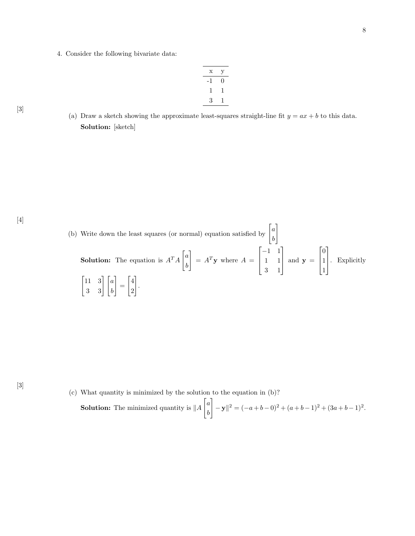4. Consider the following bivariate data:

| X  | y |
|----|---|
| -1 | 0 |
| 1  |   |
| 3  | ı |

(a) Draw a sketch showing the approximate least-squares straight-line fit  $y = ax + b$  to this data. Solution: [sketch]

[4]

[3]

[3]



(c) What quantity is minimized by the solution to the equation in (b)?

**Solution:** The minimized quantity is 
$$
||A \begin{bmatrix} a \\ b \end{bmatrix} - y ||^2 = (-a+b-0)^2 + (a+b-1)^2 + (3a+b-1)^2
$$
.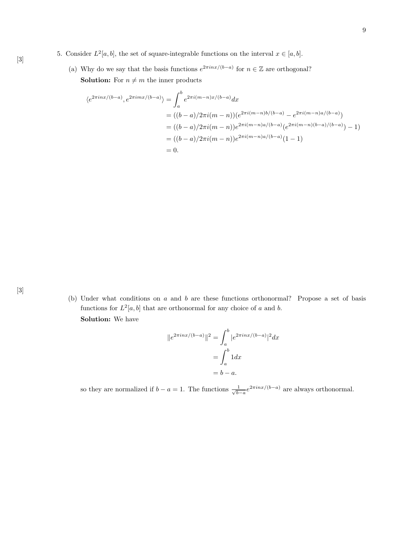- 5. Consider  $L^2[a, b]$ , the set of square-integrable functions on the interval  $x \in [a, b]$ .
	- (a) Why do we say that the basis functions  $e^{2\pi i nx/(b-a)}$  for  $n \in \mathbb{Z}$  are orthogonal? **Solution:** For  $n \neq m$  the inner products

$$
\langle e^{2\pi i nx/(b-a)}, e^{2\pi i mx/(b-a)} \rangle = \int_a^b e^{2\pi i (m-n)x/(b-a)} dx
$$
  
=  $((b-a)/2\pi i (m-n))(e^{2\pi i (m-n)b/(b-a)} - e^{2\pi i (m-n)a/(b-a)})$   
=  $((b-a)/2\pi i (m-n))e^{2\pi i (m-n)a/(b-a)}(e^{2\pi i (m-n)(b-a)/(b-a)}) - 1)$   
=  $((b-a)/2\pi i (m-n))e^{2\pi i (m-n)a/(b-a)}(1-1)$   
= 0.

(b) Under what conditions on  $a$  and  $b$  are these functions orthonormal? Propose a set of basis functions for  $L^2[a, b]$  that are orthonormal for any choice of a and b. Solution: We have

$$
||e^{2\pi i nx/(b-a)}||^2 = \int_a^b |e^{2\pi i nx/(b-a)}|^2 dx
$$

$$
= \int_a^b 1 dx
$$

$$
= b - a.
$$

so they are normalized if  $b - a = 1$ . The functions  $\frac{1}{\sqrt{b}}$  $\frac{1}{b-a}e^{2\pi inx/(b-a)}$  are always orthonormal.

[3]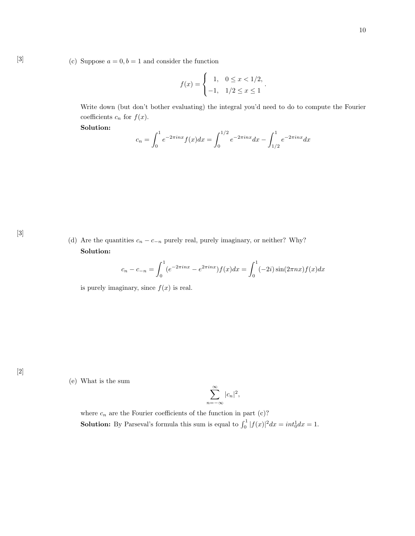[3] (c) Suppose  $a = 0, b = 1$  and consider the function

$$
f(x) = \begin{cases} 1, & 0 \le x < 1/2, \\ -1, & 1/2 \le x \le 1 \end{cases}.
$$

Write down (but don't bother evaluating) the integral you'd need to do to compute the Fourier coefficients  $c_n$  for  $f(x)$ .

Solution:

$$
c_n = \int_0^1 e^{-2\pi i n x} f(x) dx = \int_0^{1/2} e^{-2\pi i n x} dx - \int_{1/2}^1 e^{-2\pi i n x} dx
$$

(d) Are the quantities  $c_n - c_{-n}$  purely real, purely imaginary, or neither? Why? Solution:

$$
c_n - c_{-n} = \int_0^1 (e^{-2\pi inx} - e^{2\pi inx}) f(x) dx = \int_0^1 (-2i) \sin(2\pi nx) f(x) dx
$$

is purely imaginary, since  $f(x)$  is real.

[2]

[3]

### (e) What is the sum

$$
\sum_{n=-\infty}^{\infty} |c_n|^2,
$$

where  $c_n$  are the Fourier coefficients of the function in part (c)? **Solution:** By Parseval's formula this sum is equal to  $\int_0^1 |f(x)|^2 dx = int_0^1 dx = 1$ .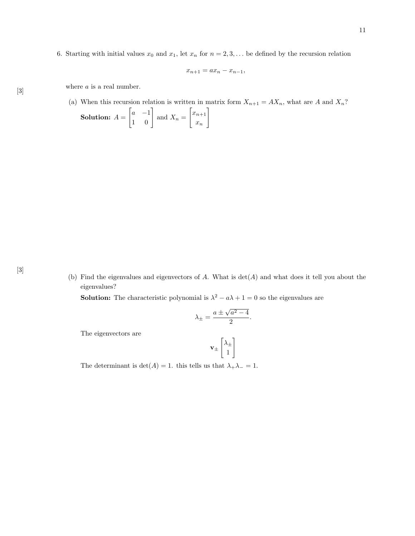6. Starting with initial values  $x_0$  and  $x_1$ , let  $x_n$  for  $n = 2, 3, \ldots$  be defined by the recursion relation

$$
x_{n+1} = ax_n - x_{n-1},
$$

 $[3] \centering \begin{minipage}{0.9\linewidth} \centering \emph{where $a$ is a real number.} \label{eq:3} \end{minipage}$ 

(a) When this recursion relation is written in matrix form  $X_{n+1} = AX_n$ , what are A and  $X_n$ ?

**Solution:** 
$$
A = \begin{bmatrix} a & -1 \\ 1 & 0 \end{bmatrix}
$$
 and  $X_n = \begin{bmatrix} x_{n+1} \\ x_n \end{bmatrix}$ 

(b) Find the eigenvalues and eigenvectors of  $A$ . What is  $\det(A)$  and what does it tell you about the eigenvalues?

**Solution:** The characteristic polynomial is  $\lambda^2 - a\lambda + 1 = 0$  so the eigenvalues are

$$
\lambda_{\pm} = \frac{a \pm \sqrt{a^2 - 4}}{2}.
$$

The eigenvectors are

$$
\mathbf{v}_{\pm}\begin{bmatrix}\lambda_{\pm}\\1\end{bmatrix}
$$

The determinant is  $\det(A) = 1$ . this tells us that  $\lambda_+ \lambda_- = 1$ .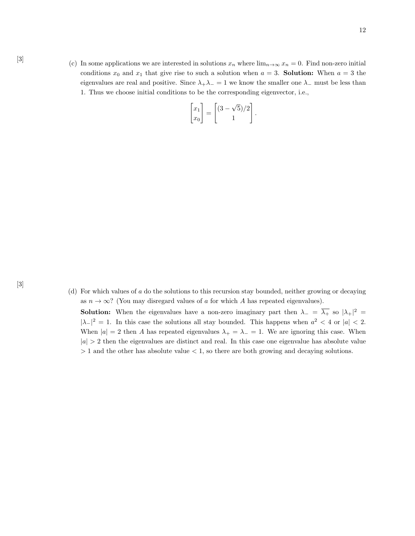[3] (c) In some applications we are interested in solutions  $x_n$  where  $\lim_{n\to\infty} x_n = 0$ . Find non-zero initial conditions  $x_0$  and  $x_1$  that give rise to such a solution when  $a = 3$ . **Solution:** When  $a = 3$  the eigenvalues are real and positive. Since  $\lambda_+\lambda_-=1$  we know the smaller one  $\lambda_-\,$  must be less than 1. Thus we choose initial conditions to be the corresponding eigenvector, i.e.,

$$
\begin{bmatrix} x_1 \\ x_0 \end{bmatrix} = \begin{bmatrix} (3 - \sqrt{5})/2 \\ 1 \end{bmatrix}.
$$

(d) For which values of a do the solutions to this recursion stay bounded, neither growing or decaying as  $n \to \infty$ ? (You may disregard values of a for which A has repeated eigenvalues).

**Solution:** When the eigenvalues have a non-zero imaginary part then  $\lambda = \overline{\lambda_+}$  so  $|\lambda_+|^2 =$  $|\lambda_{-}|^2 = 1$ . In this case the solutions all stay bounded. This happens when  $a^2 < 4$  or  $|a| < 2$ . When  $|a| = 2$  then A has repeated eigenvalues  $\lambda_+ = \lambda_- = 1$ . We are ignoring this case. When  $|a| > 2$  then the eigenvalues are distinct and real. In this case one eigenvalue has absolute value  $> 1$  and the other has absolute value  $< 1$ , so there are both growing and decaying solutions.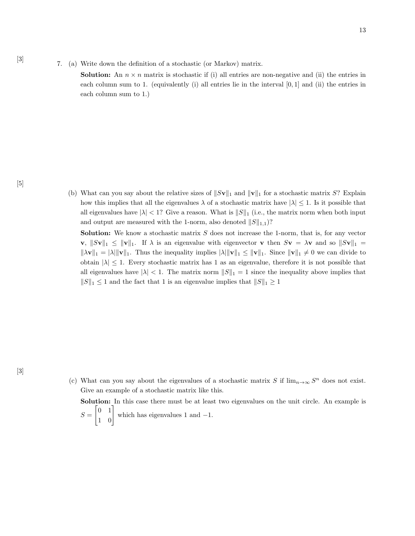7. (a) Write down the definition of a stochastic (or Markov) matrix.

**Solution:** An  $n \times n$  matrix is stochastic if (i) all entries are non-negative and (ii) the entries in each column sum to 1. (equivalently (i) all entries lie in the interval  $[0, 1]$  and (ii) the entries in each column sum to 1.)

[3]

(b) What can you say about the relative sizes of  $||Sv||_1$  and  $||v||_1$  for a stochastic matrix S? Explain how this implies that all the eigenvalues  $\lambda$  of a stochastic matrix have  $|\lambda| \leq 1$ . Is it possible that all eigenvalues have  $|\lambda| < 1$ ? Give a reason. What is  $||S||_1$  (i.e., the matrix norm when both input and output are measured with the 1-norm, also denoted  $||S||_{1,1}$ )?

**Solution:** We know a stochastic matrix  $S$  does not increase the 1-norm, that is, for any vector v,  $||Sv||_1 \le ||v||_1$ . If  $\lambda$  is an eigenvalue with eigenvector v then  $Sv = \lambda v$  and so  $||Sv||_1 =$  $\|\lambda \mathbf{v}\|_1 = |\lambda| \|\mathbf{v}\|_1$ . Thus the inequality implies  $\|\lambda\| \|\mathbf{v}\|_1 \leq \|\mathbf{v}\|_1$ . Since  $\|\mathbf{v}\|_1 \neq 0$  we can divide to obtain  $|\lambda| \leq 1$ . Every stochastic matrix has 1 as an eigenvalue, therefore it is not possible that all eigenvalues have  $|\lambda| < 1$ . The matrix norm  $||S||_1 = 1$  since the inequality above implies that  $||S||_1 \leq 1$  and the fact that 1 is an eigenvalue implies that  $||S||_1 \geq 1$ 

- (c) What can you say about the eigenvalues of a stochastic matrix S if  $\lim_{n\to\infty} S^n$  does not exist. Give an example of a stochastic matrix like this.
	- Solution: In this case there must be at least two eigenvalues on the unit circle. An example is  $S =$  $\begin{bmatrix} 0 & 1 \\ 1 & 0 \end{bmatrix}$  which has eigenvalues 1 and -1.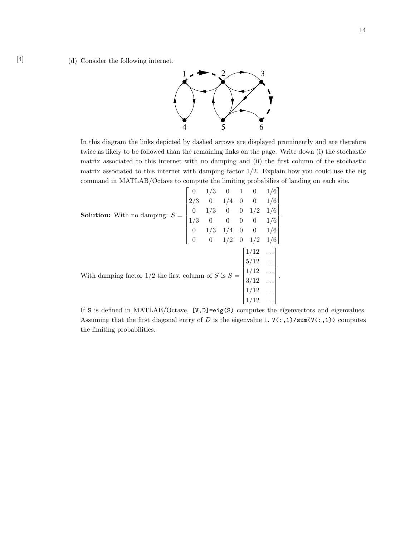

In this diagram the links depicted by dashed arrows are displayed prominently and are therefore twice as likely to be followed than the remaining links on the page. Write down (i) the stochastic matrix associated to this internet with no damping and (ii) the first column of the stochastic matrix associated to this internet with damping factor  $1/2$ . Explain how you could use the eig command in MATLAB/Octave to compute the limiting probabilies of landing on each site.

| <b>Solution:</b> With no damping: $S = \begin{bmatrix} 0 & 1/3 & 0 & 1 & 0 & 1/6 \\ 2/3 & 0 & 1/4 & 0 & 0 & 1/6 \\ 0 & 1/3 & 0 & 0 & 1/2 & 1/6 \\ 1/3 & 0 & 0 & 0 & 0 & 1/6 \\ 0 & 1/3 & 1/4 & 0 & 0 & 1/6 \\ 0 & 0 & 1/2 & 0 & 1/2 & 1/6 \end{bmatrix}$ . |  |  |  |  |
|------------------------------------------------------------------------------------------------------------------------------------------------------------------------------------------------------------------------------------------------------------|--|--|--|--|
| With damping factor 1/2 the first column of S is $S = \begin{bmatrix} 1/12 & \dots \\ 5/12 & \dots \\ 1/12 & \dots \\ 3/12 & \dots \\ 1/12 & \dots \\ 1/12 & \dots \end{bmatrix}$ .                                                                        |  |  |  |  |
|                                                                                                                                                                                                                                                            |  |  |  |  |
|                                                                                                                                                                                                                                                            |  |  |  |  |
|                                                                                                                                                                                                                                                            |  |  |  |  |
|                                                                                                                                                                                                                                                            |  |  |  |  |
|                                                                                                                                                                                                                                                            |  |  |  |  |

If S is defined in MATLAB/Octave, [V,D]=eig(S) computes the eigenvectors and eigenvalues. Assuming that the first diagonal entry of D is the eigenvalue 1,  $V(:,1)/sum(V(:,1))$  computes the limiting probabilities.